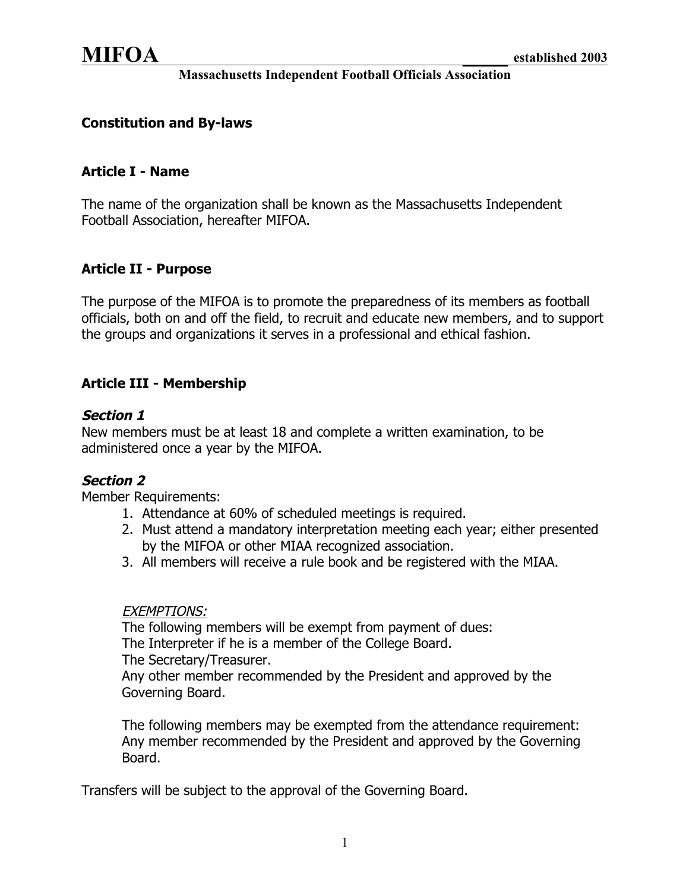### **Constitution and By-laws**

### **Article I - Name**

The name of the organization shall be known as the Massachusetts Independent Football Association, hereafter MIFOA.

### **Article II - Purpose**

The purpose of the MIFOA is to promote the preparedness of its members as football officials, both on and off the field, to recruit and educate new members, and to support the groups and organizations it serves in a professional and ethical fashion.

# **Article III - Membership**

### **Section 1**

New members must be at least 18 and complete a written examination, to be administered once a year by the MIFOA.

### **Section 2**

Member Requirements:

- 1. Attendance at 60% of scheduled meetings is required.
- 2. Must attend a mandatory interpretation meeting each year; either presented by the MIFOA or other MIAA recognized association.
- 3. All members will receive a rule book and be registered with the MIAA.

#### EXEMPTIONS:

The following members will be exempt from payment of dues: The Interpreter if he is a member of the College Board. The Secretary/Treasurer.

Any other member recommended by the President and approved by the Governing Board.

The following members may be exempted from the attendance requirement: Any member recommended by the President and approved by the Governing Board.

Transfers will be subject to the approval of the Governing Board.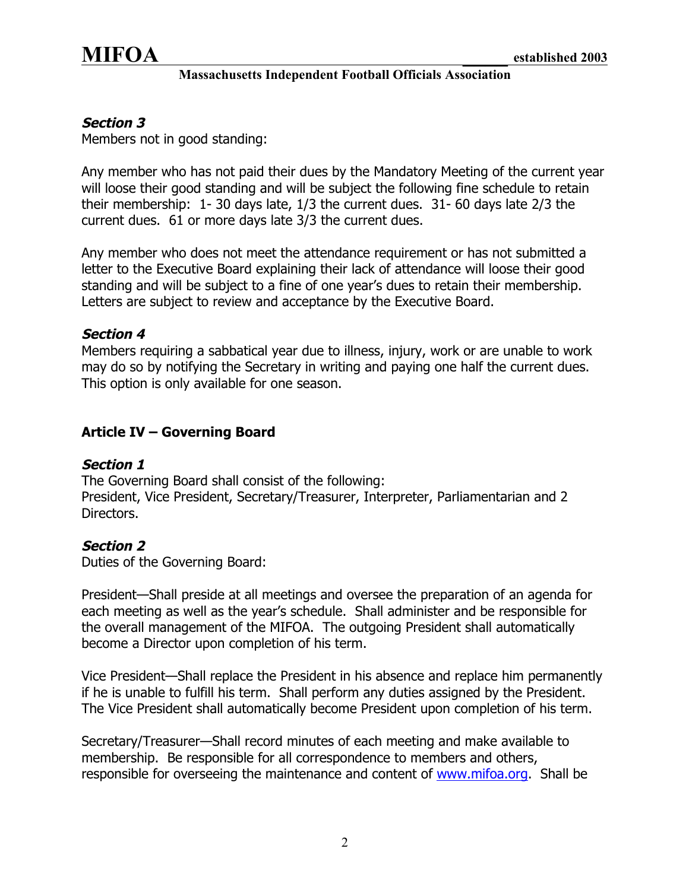

## **Section 3**

Members not in good standing:

Any member who has not paid their dues by the Mandatory Meeting of the current year will loose their good standing and will be subject the following fine schedule to retain their membership: 1- 30 days late, 1/3 the current dues. 31- 60 days late 2/3 the current dues. 61 or more days late 3/3 the current dues.

Any member who does not meet the attendance requirement or has not submitted a letter to the Executive Board explaining their lack of attendance will loose their good standing and will be subject to a fine of one year's dues to retain their membership. Letters are subject to review and acceptance by the Executive Board.

### **Section 4**

Members requiring a sabbatical year due to illness, injury, work or are unable to work may do so by notifying the Secretary in writing and paying one half the current dues. This option is only available for one season.

## **Article IV – Governing Board**

### **Section 1**

The Governing Board shall consist of the following:

President, Vice President, Secretary/Treasurer, Interpreter, Parliamentarian and 2 Directors.

### **Section 2**

Duties of the Governing Board:

President—Shall preside at all meetings and oversee the preparation of an agenda for each meeting as well as the year's schedule. Shall administer and be responsible for the overall management of the MIFOA. The outgoing President shall automatically become a Director upon completion of his term.

Vice President—Shall replace the President in his absence and replace him permanently if he is unable to fulfill his term. Shall perform any duties assigned by the President. The Vice President shall automatically become President upon completion of his term.

Secretary/Treasurer—Shall record minutes of each meeting and make available to membership. Be responsible for all correspondence to members and others, responsible for overseeing the maintenance and content of www.mifoa.org. Shall be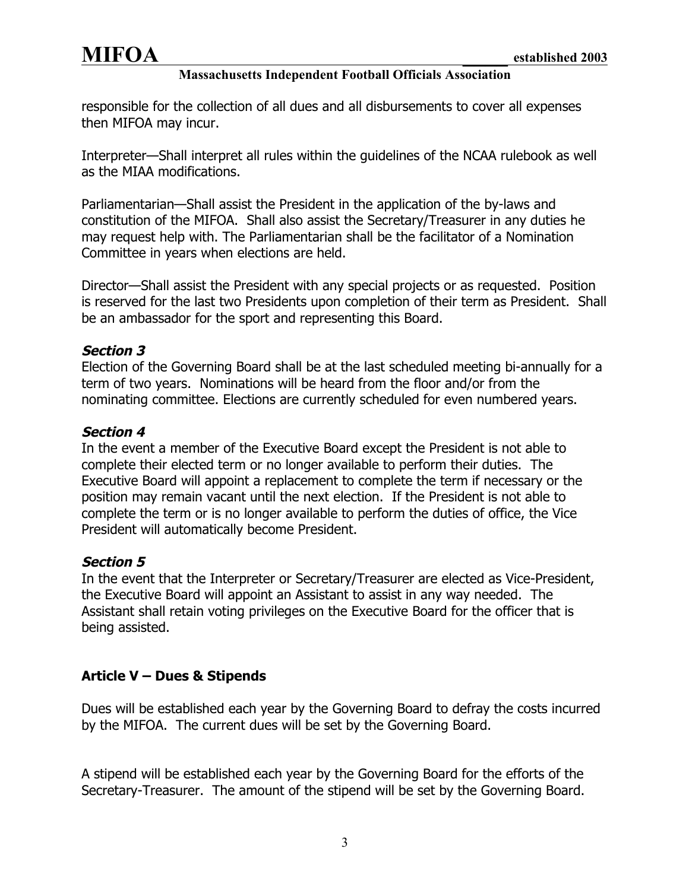responsible for the collection of all dues and all disbursements to cover all expenses then MIFOA may incur.

Interpreter—Shall interpret all rules within the guidelines of the NCAA rulebook as well as the MIAA modifications.

Parliamentarian—Shall assist the President in the application of the by-laws and constitution of the MIFOA. Shall also assist the Secretary/Treasurer in any duties he may request help with. The Parliamentarian shall be the facilitator of a Nomination Committee in years when elections are held.

Director—Shall assist the President with any special projects or as requested. Position is reserved for the last two Presidents upon completion of their term as President. Shall be an ambassador for the sport and representing this Board.

# **Section 3**

Election of the Governing Board shall be at the last scheduled meeting bi-annually for a term of two years. Nominations will be heard from the floor and/or from the nominating committee. Elections are currently scheduled for even numbered years.

## **Section 4**

In the event a member of the Executive Board except the President is not able to complete their elected term or no longer available to perform their duties. The Executive Board will appoint a replacement to complete the term if necessary or the position may remain vacant until the next election. If the President is not able to complete the term or is no longer available to perform the duties of office, the Vice President will automatically become President.

### **Section 5**

In the event that the Interpreter or Secretary/Treasurer are elected as Vice-President, the Executive Board will appoint an Assistant to assist in any way needed. The Assistant shall retain voting privileges on the Executive Board for the officer that is being assisted.

# **Article V – Dues & Stipends**

Dues will be established each year by the Governing Board to defray the costs incurred by the MIFOA. The current dues will be set by the Governing Board.

A stipend will be established each year by the Governing Board for the efforts of the Secretary-Treasurer. The amount of the stipend will be set by the Governing Board.